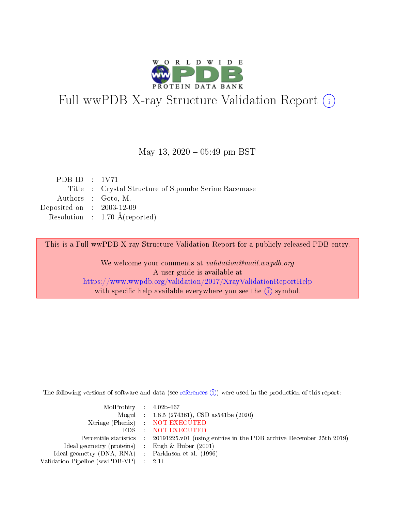

# Full wwPDB X-ray Structure Validation Report (i)

#### May 13,  $2020 - 05:49$  pm BST

| PDB ID : $1V71$                                      |
|------------------------------------------------------|
| Title : Crystal Structure of S.pombe Serine Racemase |
| Authors : Goto, M.                                   |
| Deposited on : $2003-12-09$                          |
| Resolution : $1.70 \text{ Å}$ (reported)             |
|                                                      |

This is a Full wwPDB X-ray Structure Validation Report for a publicly released PDB entry.

We welcome your comments at validation@mail.wwpdb.org A user guide is available at <https://www.wwpdb.org/validation/2017/XrayValidationReportHelp> with specific help available everywhere you see the  $(i)$  symbol.

The following versions of software and data (see [references](https://www.wwpdb.org/validation/2017/XrayValidationReportHelp#references)  $(i)$ ) were used in the production of this report:

| $MolProbability$ 4.02b-467                                 |                                                                                            |
|------------------------------------------------------------|--------------------------------------------------------------------------------------------|
|                                                            | Mogul : $1.8.5$ (274361), CSD as 541be (2020)                                              |
|                                                            | Xtriage (Phenix) NOT EXECUTED                                                              |
|                                                            | EDS : NOT EXECUTED                                                                         |
|                                                            | Percentile statistics : 20191225.v01 (using entries in the PDB archive December 25th 2019) |
| Ideal geometry (proteins) $\therefore$ Engh & Huber (2001) |                                                                                            |
| Ideal geometry (DNA, RNA) : Parkinson et al. (1996)        |                                                                                            |
| Validation Pipeline (wwPDB-VP) : 2.11                      |                                                                                            |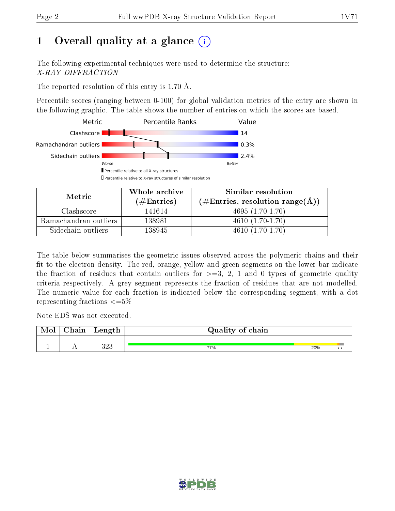# 1 [O](https://www.wwpdb.org/validation/2017/XrayValidationReportHelp#overall_quality)verall quality at a glance  $(i)$

The following experimental techniques were used to determine the structure: X-RAY DIFFRACTION

The reported resolution of this entry is 1.70 Å.

Percentile scores (ranging between 0-100) for global validation metrics of the entry are shown in the following graphic. The table shows the number of entries on which the scores are based.



| Metric                | Whole archive       | Similar resolution                                         |  |  |
|-----------------------|---------------------|------------------------------------------------------------|--|--|
|                       | (# $\rm{Entries}$ ) | $(\#\text{Entries}, \text{resolution range}(\text{\AA})\)$ |  |  |
| Clashscore            | 141614              | $4695(1.70-1.70)$                                          |  |  |
| Ramachandran outliers | 138981              | $4610(1.70-1.70)$                                          |  |  |
| Sidechain outliers    | 138945              | $4610(1.70-1.70)$                                          |  |  |

The table below summarises the geometric issues observed across the polymeric chains and their fit to the electron density. The red, orange, yellow and green segments on the lower bar indicate the fraction of residues that contain outliers for  $\geq=3$ , 2, 1 and 0 types of geometric quality criteria respectively. A grey segment represents the fraction of residues that are not modelled. The numeric value for each fraction is indicated below the corresponding segment, with a dot representing fractions  $\leq=5\%$ 

Note EDS was not executed.

| Mol | ${\bf Chain}$ | Length     | Quality of chain |     |  |
|-----|---------------|------------|------------------|-----|--|
|     | . .           | າດາ<br>ບ∠ບ | 77%              | 20% |  |

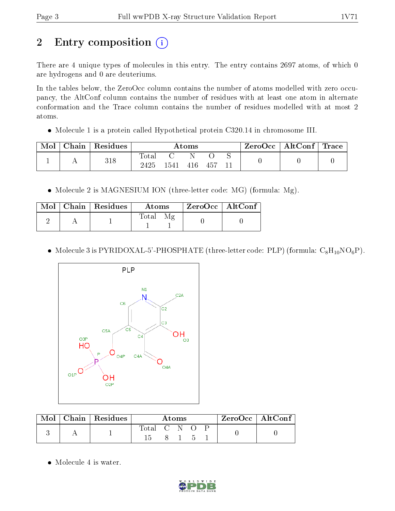# 2 Entry composition (i)

There are 4 unique types of molecules in this entry. The entry contains 2697 atoms, of which 0 are hydrogens and 0 are deuteriums.

In the tables below, the ZeroOcc column contains the number of atoms modelled with zero occupancy, the AltConf column contains the number of residues with at least one atom in alternate conformation and the Trace column contains the number of residues modelled with at most 2 atoms.

• Molecule 1 is a protein called Hypothetical protein C320.14 in chromosome III.

| Mol | Chain   Residues | Atoms         |                                |     |        |  | $\mid$ ZeroOcc $\mid$ AltConf $\mid$ Trace $\mid$ |  |
|-----|------------------|---------------|--------------------------------|-----|--------|--|---------------------------------------------------|--|
|     | 318              | Total<br>2425 | $\therefore$ 1541 $\therefore$ | 416 | 457 11 |  |                                                   |  |

• Molecule 2 is MAGNESIUM ION (three-letter code: MG) (formula: Mg).

|  | $\text{Mol}$   Chain   Residues | Atoms | ZeroOcc   AltConf |
|--|---------------------------------|-------|-------------------|
|  |                                 | Total |                   |

• Molecule 3 is PYRIDOXAL-5'-PHOSPHATE (three-letter code: PLP) (formula:  $C_8H_{10}NO_6P$ ).



| Mol | Chain   Residues | Atoms       |  |  | $ZeroOcc \   \ AltConf \  $ |  |  |
|-----|------------------|-------------|--|--|-----------------------------|--|--|
|     |                  | Total C N O |  |  |                             |  |  |
|     |                  |             |  |  |                             |  |  |

• Molecule 4 is water.

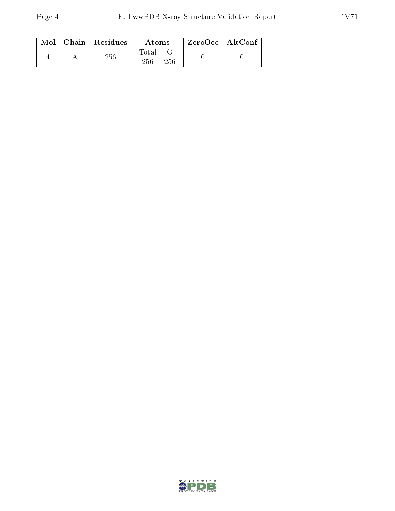|  | $\text{Mol}$   Chain   Residues | Atoms               | $\rm ZeroOcc \mid AltConf$ |  |
|--|---------------------------------|---------------------|----------------------------|--|
|  | 256                             | Total<br>256<br>256 |                            |  |

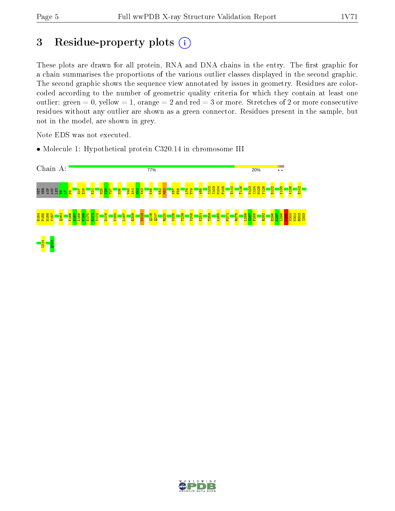# 3 Residue-property plots  $(i)$

These plots are drawn for all protein, RNA and DNA chains in the entry. The first graphic for a chain summarises the proportions of the various outlier classes displayed in the second graphic. The second graphic shows the sequence view annotated by issues in geometry. Residues are colorcoded according to the number of geometric quality criteria for which they contain at least one outlier: green  $= 0$ , yellow  $= 1$ , orange  $= 2$  and red  $= 3$  or more. Stretches of 2 or more consecutive residues without any outlier are shown as a green connector. Residues present in the sample, but not in the model, are shown in grey.

Note EDS was not executed.

• Molecule 1: Hypothetical protein C320.14 in chromosome III



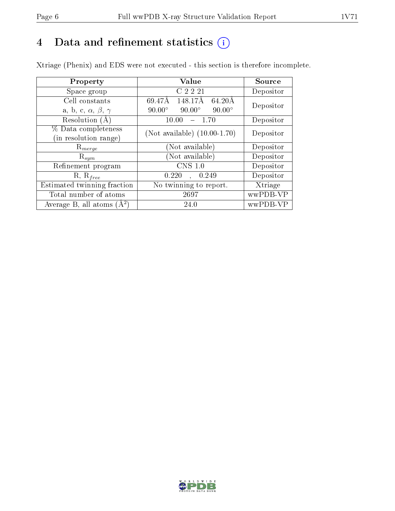# 4 Data and refinement statistics  $(i)$

Xtriage (Phenix) and EDS were not executed - this section is therefore incomplete.

| Property                               | Value                                                        | Source    |  |
|----------------------------------------|--------------------------------------------------------------|-----------|--|
| Space group                            | C 2 2 21                                                     | Depositor |  |
| Cell constants                         | 148.17Å<br>$64.20\text{\AA}$<br>$\overline{6}9.47\text{\AA}$ | Depositor |  |
| a, b, c, $\alpha$ , $\beta$ , $\gamma$ | $90.00^\circ$<br>$90.00^\circ$<br>$90.00^\circ$              |           |  |
| Resolution (A)                         | 10.00<br>- 1.70                                              | Depositor |  |
| % Data completeness                    | (Not available) $(10.00-1.70)$                               | Depositor |  |
| (in resolution range)                  |                                                              |           |  |
| $\mathrm{R}_{merge}$                   | (Not available)                                              | Depositor |  |
| $\mathrm{R}_{sym}$                     | (Not available)                                              | Depositor |  |
| Refinement program                     | CNS 1.0                                                      | Depositor |  |
| $R, R_{free}$                          | 0.220<br>0.249                                               | Depositor |  |
| Estimated twinning fraction            | No twinning to report.                                       | Xtriage   |  |
| Total number of atoms                  | 2697                                                         | wwPDB-VP  |  |
| Average B, all atoms $(A^2)$           | 24.0                                                         | wwPDB-VP  |  |

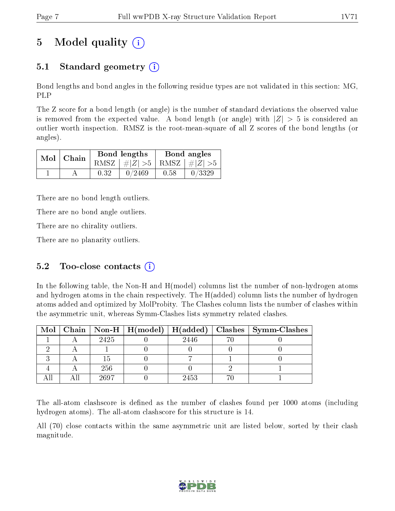# 5 Model quality  $(i)$

# 5.1 Standard geometry  $(i)$

Bond lengths and bond angles in the following residue types are not validated in this section: MG, PLP

The Z score for a bond length (or angle) is the number of standard deviations the observed value is removed from the expected value. A bond length (or angle) with  $|Z| > 5$  is considered an outlier worth inspection. RMSZ is the root-mean-square of all Z scores of the bond lengths (or angles).

|  | $Mol$ Chain |      | Bond lengths                    | Bond angles |        |  |
|--|-------------|------|---------------------------------|-------------|--------|--|
|  |             |      | RMSZ $ #Z  > 5$ RMSZ $ #Z  > 5$ |             |        |  |
|  |             | 0.32 | 0/2469                          | 0.58        | 0/3329 |  |

There are no bond length outliers.

There are no bond angle outliers.

There are no chirality outliers.

There are no planarity outliers.

### 5.2 Too-close contacts  $(i)$

In the following table, the Non-H and H(model) columns list the number of non-hydrogen atoms and hydrogen atoms in the chain respectively. The H(added) column lists the number of hydrogen atoms added and optimized by MolProbity. The Clashes column lists the number of clashes within the asymmetric unit, whereas Symm-Clashes lists symmetry related clashes.

|  |      |      | Mol   Chain   Non-H   H(model)   H(added)   Clashes   Symm-Clashes |
|--|------|------|--------------------------------------------------------------------|
|  | 2425 | 2446 |                                                                    |
|  |      |      |                                                                    |
|  |      |      |                                                                    |
|  | 256  |      |                                                                    |
|  | 2697 | 2453 |                                                                    |

The all-atom clashscore is defined as the number of clashes found per 1000 atoms (including hydrogen atoms). The all-atom clashscore for this structure is 14.

All (70) close contacts within the same asymmetric unit are listed below, sorted by their clash magnitude.

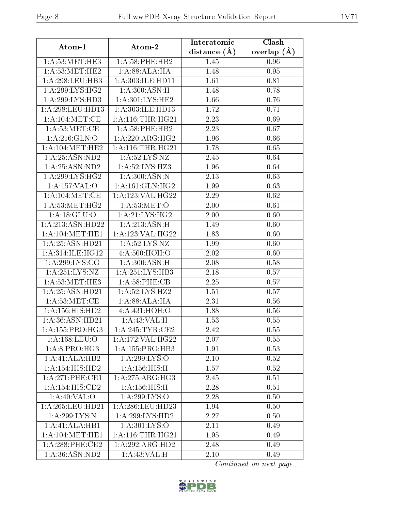| Atom-1                      | Atom-2              | Interatomic    | Clash         |  |
|-----------------------------|---------------------|----------------|---------------|--|
|                             |                     | distance $(A)$ | overlap $(A)$ |  |
| 1: A:53:MET:HE3             | $1: A:58:$ PHE:HB2  | 1.45           | 0.96          |  |
| 1: A:53:MET:HE2             | 1:A:88:ALA:HA       | 1.48           | 0.95          |  |
| 1: A:298:LEU:HB3            | 1:A:303:ILE:HD11    | 1.61           | 0.81          |  |
| 1: A:299: LYS: HG2          | 1:A:300:ASN:H       | 1.48           | 0.78          |  |
| 1:A:299:LYS:H <sub>D3</sub> | 1: A:301:LYS:HE2    | 1.66           | 0.76          |  |
| 1:A:298:LEU:HD13            | 1:A:303:ILE:HD13    | 1.72           | 0.71          |  |
| 1: A: 104: MET: CE          | 1: A:116:THR:HG21   | 2.23           | 0.69          |  |
| 1: A:53:MET:CE              | $1: A:58:$ PHE:HB2  | 2.23           | 0.67          |  |
| 1: A:216: GLN:O             | 1:A:220:ARG:HG2     | 1.96           | 0.66          |  |
| 1: A: 104: MET: HE2         | 1: A:116:THR:HG21   | 1.78           | 0.65          |  |
| 1: A:25: ASN:ND2            | 1: A:52:LYS:NZ      | 2.45           | 0.64          |  |
| 1: A:25: ASN:ND2            | 1: A:52:LYS:HZ3     | 1.96           | 0.64          |  |
| 1: A:299: LYS: HG2          | 1: A:300:ASN:N      | 2.13           | 0.63          |  |
| 1:A:157:VAL:O               | 1: A:161: GLN: HG2  | 1.99           | 0.63          |  |
| 1: A: 104: MET: CE          | 1:A:123:VAL:HG22    | 2.29           | $0.62\,$      |  |
| 1: A:53:MET:HG2             | 1:A:53:MET:O        | 2.00           | 0.61          |  |
| 1: A:18: GLU:O              | 1: A:21: LYS: HG2   | 2.00           | 0.60          |  |
| 1:A:213:ASN:HD22            | 1:A:213:ASN:H       | 1.49           | 0.60          |  |
| 1: A:104: MET:HE1           | 1:A:123:VAL:HG22    | 1.83           | 0.60          |  |
| 1:A:25:ASN:HD21             | 1: A:52:LYS:NZ      | 1.99           | 0.60          |  |
| 1: A:314: ILE: HG12         | 4:A:500:HOH:O       | 2.02           | 0.60          |  |
| 1: A:299: LYS: CG           | 1: A:300:ASN:H      | 2.08           | 0.58          |  |
| 1:A:251:LYS:NZ              | 1:A:251:LYS:HB3     | 2.18           | 0.57          |  |
| $1:$ A:53:MET:HE3           | 1: A:58:PHE:CB      | 2.25           | 0.57          |  |
| 1:A:25:ASN:HD21             | 1: A:52:LYS:HZ2     | 1.51           | 0.57          |  |
| 1: A:53:MET:CE              | 1:A:88:ALA:HA       | 2.31           | 0.56          |  |
| 1: A: 156: HIS: HD2         | 4: A: 431: HOH: O   | 1.88           | 0.56          |  |
| 1:A:36:ASN:HD21             | 1: A:43:VAL: H      | 1.53           | 0.55          |  |
| 1: A: 155: PRO:HG3          | 1: A:245:TYR:CE2    | 2.42           | 0.55          |  |
| 1: A: 168: LEU: O           | 1:A:172:VAL:HG22    | 2.07           | 0.55          |  |
| 1: A:8: PRO:HG3             | 1: A: 155: PRO: HB3 | 1.91           | 0.53          |  |
| 1:A:41:ALA:HB2              | 1:A:299:LYS:O       | 2.10           | 0.52          |  |
| 1:A:154:HIS:HD2             | 1: A: 156: HIS:H    | 1.57           | 0.52          |  |
| 1:A:271:PHE:CE1             | 1:A:275:ARG:HG3     | 2.45           | 0.51          |  |
| 1:A:154:HIS:CD2             | 1: A: 156: HIS:H    | 2.28           | 0.51          |  |
| 1: A:40: VAL:O              | 1:A:299:LYS:O       | 2.28           | 0.50          |  |
| $1:$ A:265:LEU:HD21         | 1: A:286:LEU:HD23   | 1.94           | 0.50          |  |
| 1:A:299:LYS:N               | 1:A:299:LYS:HD2     | 2.27           | 0.50          |  |
| 1:A:41:ALA:HB1              | 1:A:301:LYS:O       | 2.11           | 0.49          |  |
| 1: A:104: MET:HE1           | 1: A:116:THR:HG21   | 1.95           | 0.49          |  |
| $1: A:288:$ PHE:CE2         | 1:A:292:ARG:HD2     | 2.48           | 0.49          |  |
| 1: A:36: ASN:ND2            | 1:A:43:VAL:H        | 2.10           | 0.49          |  |

Continued on next page...

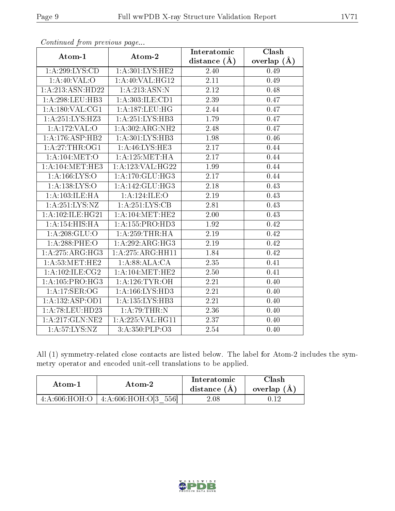| $F^{(1)}(x) = F^{(2)}(x) = F^{(1)}(x) = F^{(2)}(x) = F^{(1)}(x) = F^{(1)}(x) = F^{(1)}(x) = F^{(1)}(x) = F^{(1)}(x) = F^{(1)}(x) = F^{(1)}(x) = F^{(1)}(x) = F^{(1)}(x) = F^{(1)}(x) = F^{(1)}(x) = F^{(1)}(x) = F^{(1)}(x) = F^{(1)}(x) = F^{(1)}(x) = F^{(1)}(x) = F^{(1)}(x) = F^{(1)}(x) = F^{(1)}(x) = F^{(1)}(x) = F^{(1$ |                      | Interatomic       | $\overline{\text{Clash}}$ |
|---------------------------------------------------------------------------------------------------------------------------------------------------------------------------------------------------------------------------------------------------------------------------------------------------------------------------------|----------------------|-------------------|---------------------------|
| Atom-1                                                                                                                                                                                                                                                                                                                          | Atom-2               | distance $(A)$    | overlap $(A)$             |
| 1: A:299: LYS:CD                                                                                                                                                                                                                                                                                                                | 1:A:301:LYS:HE2      | 2.40              | 0.49                      |
| 1: A:40: VAL:O                                                                                                                                                                                                                                                                                                                  | 1:A:40:VAL:HG12      | 2.11              | 0.49                      |
| 1:A:213:ASN:HD22                                                                                                                                                                                                                                                                                                                | 1:A:213:ASN:N        | 2.12              | 0.48                      |
| 1: A:298:LEU:HB3                                                                                                                                                                                                                                                                                                                | 1:A:303:ILE:CD1      | 2.39              | 0.47                      |
| 1: A: 180: VAL: CG1                                                                                                                                                                                                                                                                                                             | 1:A:187:LEU:HG       | 2.44              | 0.47                      |
| 1: A:251:LYS:HZ3                                                                                                                                                                                                                                                                                                                | 1: A:251: LYS:HB3    | 1.79              | 0.47                      |
| 1:A:172:VAL:O                                                                                                                                                                                                                                                                                                                   | 1:A:302:ARG:NH2      | 2.48              | 0.47                      |
| 1:A:176:ASP:HB2                                                                                                                                                                                                                                                                                                                 | 1: A:301: LYS:HB3    | 1.98              | 0.46                      |
| 1: A:27:THR:OG1                                                                                                                                                                                                                                                                                                                 | 1: A:46: LYS: HE3    | 2.17              | 0.44                      |
| 1: A:104:MET:O                                                                                                                                                                                                                                                                                                                  | 1: A: 125: MET: HA   | 2.17              | 0.44                      |
| 1: A:104: MET:HE3                                                                                                                                                                                                                                                                                                               | 1: A: 123: VAL: HG22 | 1.99              | 0.44                      |
| 1: A: 166: LYS: O                                                                                                                                                                                                                                                                                                               | 1: A:170: GLU: HG3   | $\overline{2.17}$ | 0.44                      |
| 1: A: 138: LYS: O                                                                                                                                                                                                                                                                                                               | 1:A:142:GLU:HG3      | 2.18              | 0.43                      |
| 1:A:103:ILE:HA                                                                                                                                                                                                                                                                                                                  | 1:A:124:ILE:O        | 2.19              | 0.43                      |
| 1:A:251:LYS:NZ                                                                                                                                                                                                                                                                                                                  | 1:A:251:LYS:CB       | 2.81              | 0.43                      |
| 1: A:102: ILE: HG21                                                                                                                                                                                                                                                                                                             | 1: A:104:MET:HE2     | 2.00              | 0.43                      |
| 1:A:154:HIS:HA                                                                                                                                                                                                                                                                                                                  | 1:A:155:PRO:HD3      | 1.92              | 0.42                      |
| 1: A:208: GLU:O                                                                                                                                                                                                                                                                                                                 | 1: A:259:THR:HA      | 2.19              | 0.42                      |
| $1: A:288:$ PHE:O                                                                                                                                                                                                                                                                                                               | 1:A:292:ARG:HG3      | 2.19              | 0.42                      |
| 1: A:275: ARG: HG3                                                                                                                                                                                                                                                                                                              | 1:A:275:ARG:HH11     | 1.84              | 0.42                      |
| 1: A:53:MET:HE2                                                                                                                                                                                                                                                                                                                 | 1:A:88:ALA:CA        | 2.35              | 0.41                      |
| 1:A:102:ILE:CG2                                                                                                                                                                                                                                                                                                                 | 1: A:104: MET:HE2    | 2.50              | 0.41                      |
| 1:A:105:PRO:HG3                                                                                                                                                                                                                                                                                                                 | 1: A:126: TYR:OH     | 2.21              | 0.40                      |
| 1:A:17:SER:OG                                                                                                                                                                                                                                                                                                                   | 1:A:166:LYS:HD3      | 2.21              | 0.40                      |
| 1:A:132:ASP:OD1                                                                                                                                                                                                                                                                                                                 | 1:A:135:LYS:HB3      | $\overline{2.2}1$ | 0.40                      |
| 1:A:78:LEU:HD23                                                                                                                                                                                                                                                                                                                 | 1: A:79:THR:N        | 2.36              | 0.40                      |
| 1: A:217: GLN:NE2                                                                                                                                                                                                                                                                                                               | 1:A:225:VAL:HG11     | $\overline{2.37}$ | 0.40                      |
| 1: A: 57: LYS: NZ                                                                                                                                                                                                                                                                                                               | 3: A: 350: PLP: O3   | 2.54              | 0.40                      |

Continued from previous page...

All (1) symmetry-related close contacts are listed below. The label for Atom-2 includes the symmetry operator and encoded unit-cell translations to be applied.

| Atom-1 | Atom-2                                   | Interatomic<br>distance $(A)$ | 7lash-<br>overlap $(A)$ |
|--------|------------------------------------------|-------------------------------|-------------------------|
|        | $4:A:606:HOH:O$   $4:A:606:HOH:O[3 556]$ | 2.08                          |                         |

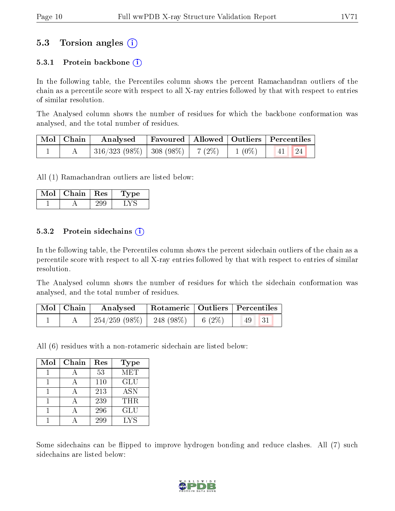### 5.3 Torsion angles (i)

#### 5.3.1 Protein backbone  $(i)$

In the following table, the Percentiles column shows the percent Ramachandran outliers of the chain as a percentile score with respect to all X-ray entries followed by that with respect to entries of similar resolution.

The Analysed column shows the number of residues for which the backbone conformation was analysed, and the total number of residues.

| $\mid$ Mol $\mid$ Chain $\mid$ | $\boldsymbol{\mathrm{Analysed}}$                                         | Favoured   Allowed   Outliers   Percentiles |  |                                                                          |  |
|--------------------------------|--------------------------------------------------------------------------|---------------------------------------------|--|--------------------------------------------------------------------------|--|
|                                | $\mid$ 316/323 (98%) $\mid$ 308 (98%) $\mid$ 7 (2%) $\mid$ 1 (0%) $\mid$ |                                             |  | $\begin{array}{ c c c c c }\n\hline\n\text{41} & \text{24}\n\end{array}$ |  |

All (1) Ramachandran outliers are listed below:

| Mol | Chain | $\operatorname{Res}$ | 1 vpe |
|-----|-------|----------------------|-------|
|     |       |                      |       |

#### 5.3.2 Protein sidechains  $\hat{I}$

In the following table, the Percentiles column shows the percent sidechain outliers of the chain as a percentile score with respect to all X-ray entries followed by that with respect to entries of similar resolution.

The Analysed column shows the number of residues for which the sidechain conformation was analysed, and the total number of residues.

| Mol   Chain | Analysed   Rotameric   Outliers   Percentiles |  |             |  |
|-------------|-----------------------------------------------|--|-------------|--|
|             | $254/259$ (98\%)   248 (98\%)   6 (2\%)       |  | $(49 \ 31)$ |  |

All (6) residues with a non-rotameric sidechain are listed below:

| Mol | Chain | Res | Type       |
|-----|-------|-----|------------|
|     |       | 53  | MET        |
|     |       | 110 | <b>GLU</b> |
|     |       | 213 | <b>ASN</b> |
|     |       | 239 | THR.       |
|     |       | 296 | GLU        |
|     |       | 299 | LYS        |

Some sidechains can be flipped to improve hydrogen bonding and reduce clashes. All (7) such sidechains are listed below:

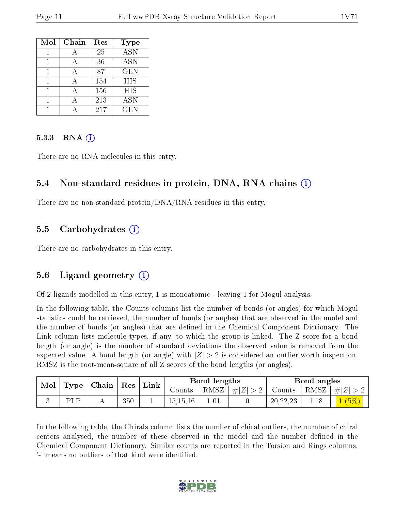| Mol | Chain | Res | Type             |
|-----|-------|-----|------------------|
|     |       | 25  | $\overline{ASN}$ |
|     |       | 36  | <b>ASN</b>       |
|     |       | 87  | <b>GLN</b>       |
|     | А     | 154 | HIS              |
|     |       | 156 | HIS              |
|     |       | 213 | <b>ASN</b>       |
|     |       | 217 | GLN              |

#### 5.3.3 RNA (i)

There are no RNA molecules in this entry.

#### 5.4 Non-standard residues in protein, DNA, RNA chains (i)

There are no non-standard protein/DNA/RNA residues in this entry.

#### 5.5 Carbohydrates (i)

There are no carbohydrates in this entry.

### 5.6 Ligand geometry (i)

Of 2 ligands modelled in this entry, 1 is monoatomic - leaving 1 for Mogul analysis.

In the following table, the Counts columns list the number of bonds (or angles) for which Mogul statistics could be retrieved, the number of bonds (or angles) that are observed in the model and the number of bonds (or angles) that are defined in the Chemical Component Dictionary. The Link column lists molecule types, if any, to which the group is linked. The Z score for a bond length (or angle) is the number of standard deviations the observed value is removed from the expected value. A bond length (or angle) with  $|Z| > 2$  is considered an outlier worth inspection. RMSZ is the root-mean-square of all Z scores of the bond lengths (or angles).

| Mol                        |     |  |        | Bond lengths<br>Link |                          |               | Bond angles |                |      |     |
|----------------------------|-----|--|--------|----------------------|--------------------------|---------------|-------------|----------------|------|-----|
| $\vert$ Type   Chain   Res |     |  | Counts | RMSZ                 | $\vert \#  Z  > 2 \vert$ | Counts   RMSZ |             | $\vert \#  Z $ |      |     |
|                            | PLP |  | 350    |                      | 15, 15, 16               | 1.01          |             | 20, 22, 23     | 1.18 | (5% |

In the following table, the Chirals column lists the number of chiral outliers, the number of chiral centers analysed, the number of these observed in the model and the number defined in the Chemical Component Dictionary. Similar counts are reported in the Torsion and Rings columns. '-' means no outliers of that kind were identified.

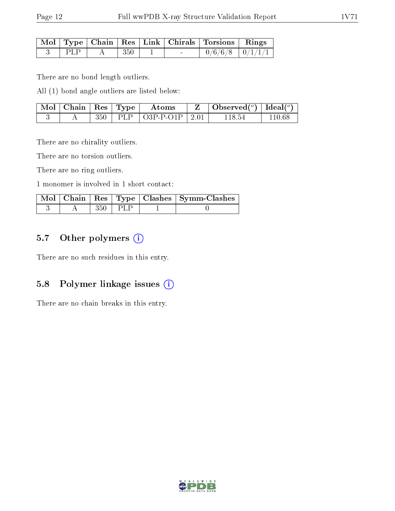|        |       |  | Mol   Type   Chain   Res   Link   Chirals   Torsions   Rings |  |
|--------|-------|--|--------------------------------------------------------------|--|
| ⊥ PLP. | - 350 |  | $0/6/6/8$ $0/1/1/1$                                          |  |

There are no bond length outliers.

All (1) bond angle outliers are listed below:

| $\vert$ Mol $\vert$ Chain $\vert$ Res $\vert$ Type $\vert$ |  | Atoms                          | Observed( $^o$ )   Ideal( $^o$ ) |        |
|------------------------------------------------------------|--|--------------------------------|----------------------------------|--------|
|                                                            |  | $350$   PLP   O3P-P-O1P   2.01 | 118 54                           | 110.68 |

There are no chirality outliers.

There are no torsion outliers.

There are no ring outliers.

1 monomer is involved in 1 short contact:

|  |       |        | Mol   Chain   Res   Type   Clashes   Symm-Clashes |
|--|-------|--------|---------------------------------------------------|
|  | 350 - | t PLP. |                                                   |

#### 5.7 [O](https://www.wwpdb.org/validation/2017/XrayValidationReportHelp#nonstandard_residues_and_ligands)ther polymers (i)

There are no such residues in this entry.

#### 5.8 Polymer linkage issues (i)

There are no chain breaks in this entry.